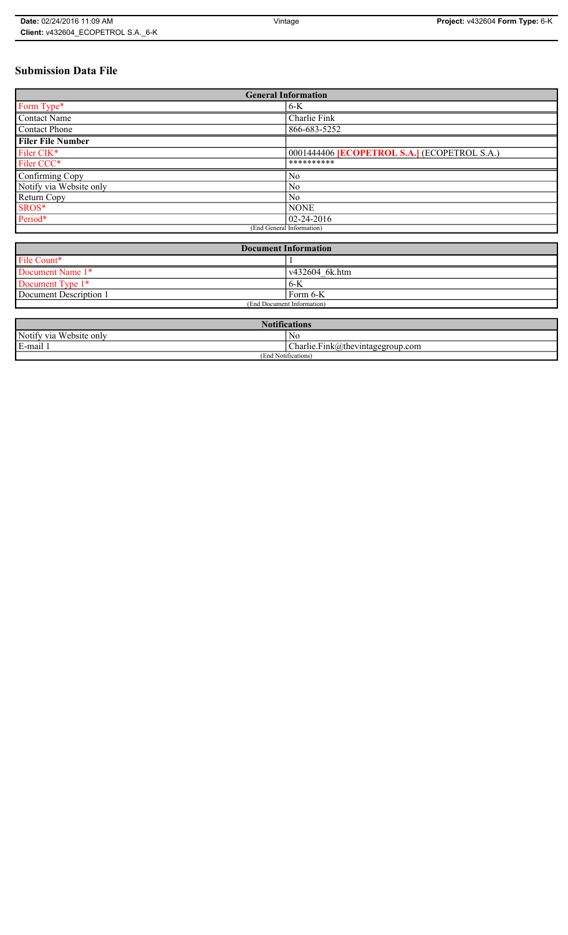# **Submission Data File**

| <b>General Information</b> |                                                   |
|----------------------------|---------------------------------------------------|
| Form Type*                 | $6-K$                                             |
| <b>Contact Name</b>        | Charlie Fink                                      |
| <b>Contact Phone</b>       | 866-683-5252                                      |
| <b>Filer File Number</b>   |                                                   |
| Filer CIK*                 | 0001444406 <b>ECOPETROL S.A.</b> (ECOPETROL S.A.) |
| Filer CCC*                 | **********                                        |
| Confirming Copy            | N <sub>0</sub>                                    |
| Notify via Website only    | N <sub>0</sub>                                    |
| Return Copy                | N <sub>0</sub>                                    |
| SROS*                      | <b>NONE</b>                                       |
| Period*                    | $ 02 - 24 - 2016 $                                |
| (End General Information)  |                                                   |

| <b>Document Information</b> |                |
|-----------------------------|----------------|
| File Count*                 |                |
| Document Name 1*            | v432604 6k.htm |
| Document Type 1*            | 6-K            |
| Document Description 1      | Form 6-K       |
| (End Document Information)  |                |

| <b>Notifications</b>    |                                  |
|-------------------------|----------------------------------|
| Notify via Website only | No                               |
| E-mail                  | Charlie.Fink@thevintagegroup.com |
| (End Notifications)     |                                  |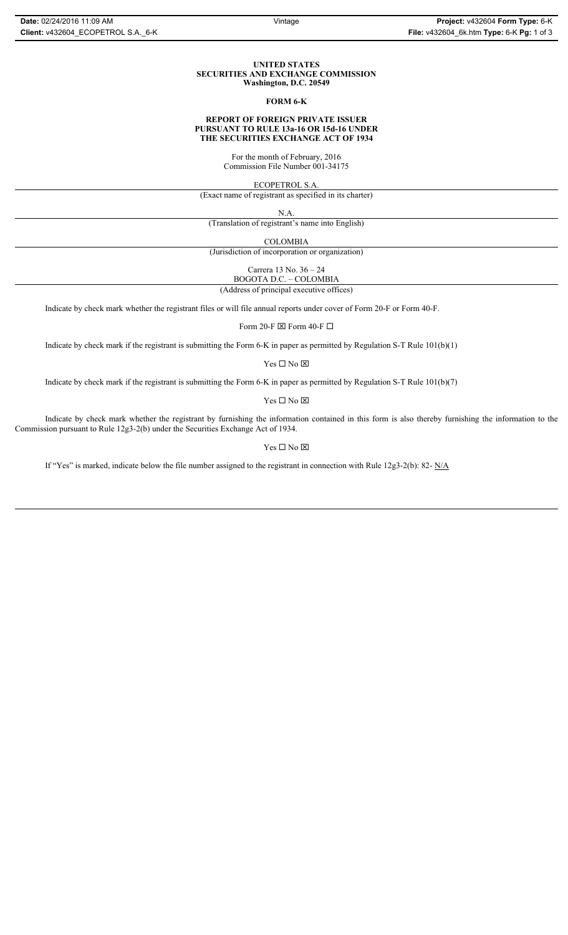#### **UNITED STATES SECURITIES AND EXCHANGE COMMISSION Washington, D.C. 20549**

#### **FORM 6-K**

# **REPORT OF FOREIGN PRIVATE ISSUER PURSUANT TO RULE 13a-16 OR 15d-16 UNDER THE SECURITIES EXCHANGE ACT OF 1934**

For the month of February, 2016 Commission File Number 001-34175

ECOPETROL S.A.

(Exact name of registrant as specified in its charter)

N.A.

(Translation of registrant's name into English)

COLOMBIA

(Jurisdiction of incorporation or organization)

Carrera 13 No. 36 – 24

BOGOTA D.C. – COLOMBIA (Address of principal executive offices)

Indicate by check mark whether the registrant files or will file annual reports under cover of Form 20-F or Form 40-F.

Form 20-F  $\boxtimes$  Form 40-F  $\Box$ 

Indicate by check mark if the registrant is submitting the Form 6-K in paper as permitted by Regulation S-T Rule 101(b)(1)

Yes $\Box$  No  $\boxtimes$ 

Indicate by check mark if the registrant is submitting the Form 6-K in paper as permitted by Regulation S-T Rule 101(b)(7)

Yes $\Box$  No  $\boxtimes$ 

Indicate by check mark whether the registrant by furnishing the information contained in this form is also thereby furnishing the information to the Commission pursuant to Rule 12g3-2(b) under the Securities Exchange Act of 1934.

## $Yes \Box No \boxtimes$

If "Yes" is marked, indicate below the file number assigned to the registrant in connection with Rule 12g3-2(b): 82- N/A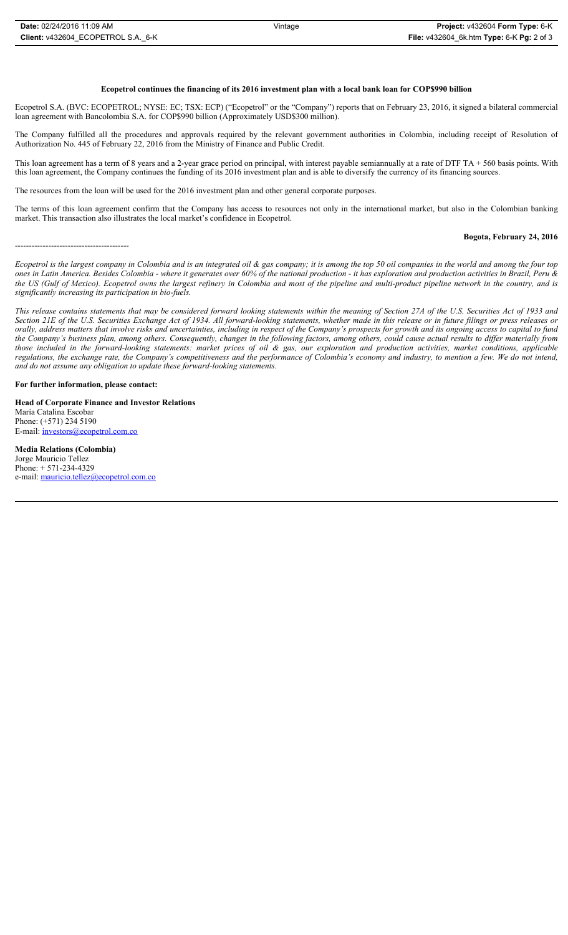#### **Ecopetrol continues the financing of its 2016 investment plan with a local bank loan for COP\$990 billion**

Ecopetrol S.A. (BVC: ECOPETROL; NYSE: EC; TSX: ECP) ("Ecopetrol" or the "Company") reports that on February 23, 2016, it signed a bilateral commercial loan agreement with Bancolombia S.A. for COP\$990 billion (Approximately USD\$300 million).

The Company fulfilled all the procedures and approvals required by the relevant government authorities in Colombia, including receipt of Resolution of Authorization No. 445 of February 22, 2016 from the Ministry of Finance and Public Credit.

This loan agreement has a term of 8 years and a 2-year grace period on principal, with interest payable semiannually at a rate of DTF TA  $+ 560$  basis points. With this loan agreement, the Company continues the funding of its 2016 investment plan and is able to diversify the currency of its financing sources.

The resources from the loan will be used for the 2016 investment plan and other general corporate purposes.

The terms of this loan agreement confirm that the Company has access to resources not only in the international market, but also in the Colombian banking market. This transaction also illustrates the local market's confidence in Ecopetrol.

# **Bogota, February 24, 2016**

*Ecopetrol is the largest company in Colombia and is an integrated oil & gas company; it is among the top 50 oil companies in the world and among the four top ones in Latin America. Besides Colombia - where it generates over 60% of the national production - it has exploration and production activities in Brazil, Peru & the US (Gulf of Mexico). Ecopetrol owns the largest refinery in Colombia and most of the pipeline and multi-product pipeline network in the country, and is significantly increasing its participation in bio-fuels.*

*This release contains statements that may be considered forward looking statements within the meaning of Section 27A of the U.S. Securities Act of 1933 and Section 21E of the U.S. Securities Exchange Act of 1934. All forward-looking statements, whether made in this release or in future filings or press releases or orally, address matters that involve risks and uncertainties, including in respect of the Company's prospects for growth and its ongoing access to capital to fund the Company's business plan, among others. Consequently, changes in the following factors, among others, could cause actual results to differ materially from those included in the forward-looking statements: market prices of oil & gas, our exploration and production activities, market conditions, applicable regulations, the exchange rate, the Company's competitiveness and the performance of Colombia's economy and industry, to mention a few. We do not intend, and do not assume any obligation to update these forward-looking statements.*

#### **For further information, please contact:**

-----------------------------------------

**Head of Corporate Finance and Investor Relations** María Catalina Escobar Phone: (+571) 234 5190 E-mail: *investors@ecopetrol.com.co* 

**Media Relations (Colombia)**  Jorge Mauricio Tellez Phone: + 571-234-4329 e-mail: mauricio.tellez@ecopetrol.com.co